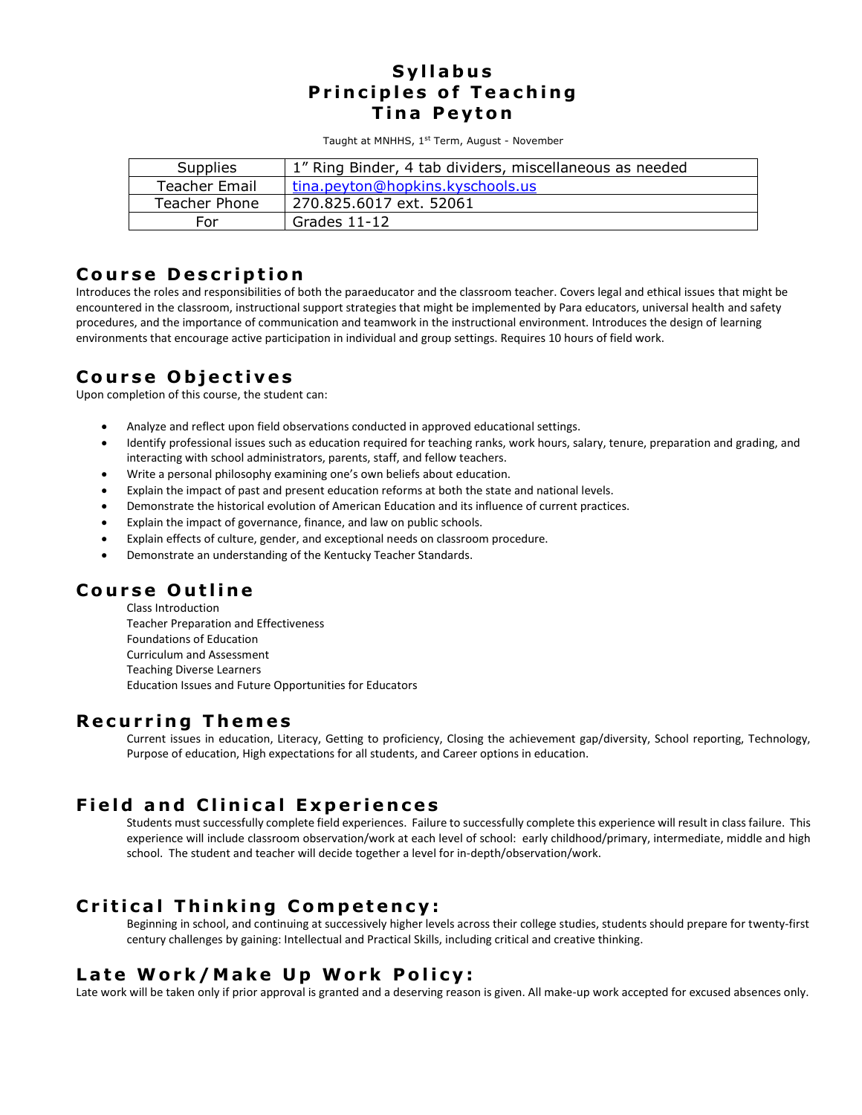#### **S y l l a b u s Principles of Teaching Tina Peyton**

Taught at MNHHS, 1st Term, August - November

| <b>Supplies</b> | 1" Ring Binder, 4 tab dividers, miscellaneous as needed |
|-----------------|---------------------------------------------------------|
| Teacher Email   | tina.peyton@hopkins.kyschools.us                        |
| Teacher Phone   | 270.825.6017 ext. 52061                                 |
| <b>For</b>      | Grades $11-12$                                          |

#### **Course Description**

Introduces the roles and responsibilities of both the paraeducator and the classroom teacher. Covers legal and ethical issues that might be encountered in the classroom, instructional support strategies that might be implemented by Para educators, universal health and safety procedures, and the importance of communication and teamwork in the instructional environment. Introduces the design of learning environments that encourage active participation in individual and group settings. Requires 10 hours of field work.

# **C o u r s e O b j e c t i v e s**

Upon completion of this course, the student can:

- Analyze and reflect upon field observations conducted in approved educational settings.
- Identify professional issues such as education required for teaching ranks, work hours, salary, tenure, preparation and grading, and interacting with school administrators, parents, staff, and fellow teachers.
- Write a personal philosophy examining one's own beliefs about education.
- Explain the impact of past and present education reforms at both the state and national levels.
- Demonstrate the historical evolution of American Education and its influence of current practices.
- Explain the impact of governance, finance, and law on public schools.
- Explain effects of culture, gender, and exceptional needs on classroom procedure.
- Demonstrate an understanding of the Kentucky Teacher Standards.

## **C o u r s e O u t l i n e**

Class Introduction Teacher Preparation and Effectiveness Foundations of Education Curriculum and Assessment Teaching Diverse Learners Education Issues and Future Opportunities for Educators

#### **R e c u r r i n g T h em e s**

Current issues in education, Literacy, Getting to proficiency, Closing the achievement gap/diversity, School reporting, Technology, Purpose of education, High expectations for all students, and Career options in education.

## **Field and Clinical Experiences**

Students must successfully complete field experiences. Failure to successfully complete this experience will result in class failure. This experience will include classroom observation/work at each level of school: early childhood/primary, intermediate, middle and high school. The student and teacher will decide together a level for in-depth/observation/work.

## **Critical Thinking Competency:**

Beginning in school, and continuing at successively higher levels across their college studies, students should prepare for twenty-first century challenges by gaining: Intellectual and Practical Skills, including critical and creative thinking.

## **Late Work/Make Up Work Policy:**

Late work will be taken only if prior approval is granted and a deserving reason is given. All make-up work accepted for excused absences only.